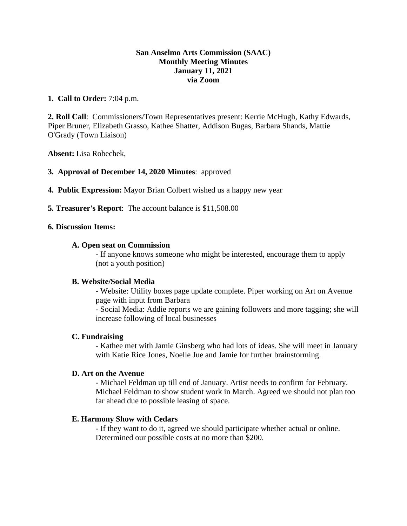## **San Anselmo Arts Commission (SAAC) Monthly Meeting Minutes January 11, 2021 via Zoom**

## **1. Call to Order:** 7:04 p.m.

**2. Roll Call**: Commissioners/Town Representatives present: Kerrie McHugh, Kathy Edwards, Piper Bruner, Elizabeth Grasso, Kathee Shatter, Addison Bugas, Barbara Shands, Mattie O'Grady (Town Liaison)

**Absent:** Lisa Robechek,

## **3. Approval of December 14, 2020 Minutes**: approved

- **4. Public Expression:** Mayor Brian Colbert wished us a happy new year
- **5. Treasurer's Report**: The account balance is \$11,508.00

#### **6. Discussion Items:**

#### **A. Open seat on Commission**

**-** If anyone knows someone who might be interested, encourage them to apply (not a youth position)

#### **B. Website/Social Media**

- Website: Utility boxes page update complete. Piper working on Art on Avenue page with input from Barbara

- Social Media: Addie reports we are gaining followers and more tagging; she will increase following of local businesses

#### **C. Fundraising**

- Kathee met with Jamie Ginsberg who had lots of ideas. She will meet in January with Katie Rice Jones, Noelle Jue and Jamie for further brainstorming.

#### **D. Art on the Avenue**

- Michael Feldman up till end of January. Artist needs to confirm for February. Michael Feldman to show student work in March. Agreed we should not plan too far ahead due to possible leasing of space.

#### **E. Harmony Show with Cedars**

- If they want to do it, agreed we should participate whether actual or online. Determined our possible costs at no more than \$200.